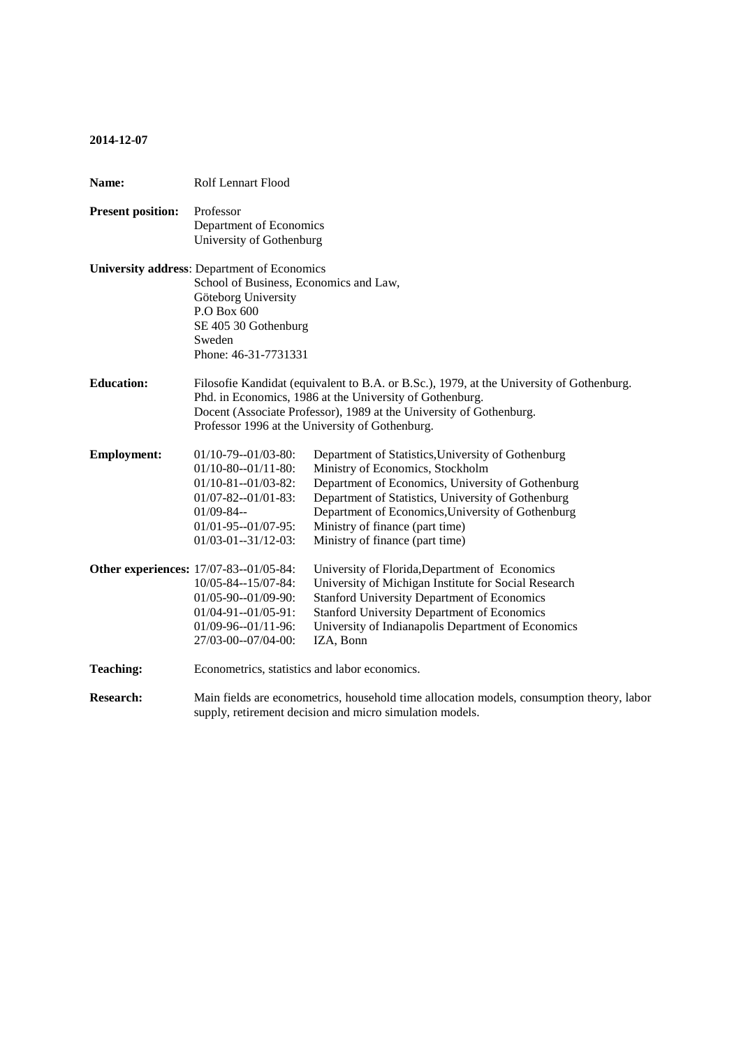## **2014-12-07**

| Name:                    | Rolf Lennart Flood                                                                                                                                                                                                                                                             |                                                                                                                                                                                                                                                                                                                              |
|--------------------------|--------------------------------------------------------------------------------------------------------------------------------------------------------------------------------------------------------------------------------------------------------------------------------|------------------------------------------------------------------------------------------------------------------------------------------------------------------------------------------------------------------------------------------------------------------------------------------------------------------------------|
| <b>Present position:</b> | Professor<br>Department of Economics<br>University of Gothenburg                                                                                                                                                                                                               |                                                                                                                                                                                                                                                                                                                              |
|                          | <b>University address: Department of Economics</b><br>School of Business, Economics and Law,<br>Göteborg University<br>P.O Box 600<br>SE 405 30 Gothenburg<br>Sweden<br>Phone: 46-31-7731331                                                                                   |                                                                                                                                                                                                                                                                                                                              |
| <b>Education:</b>        | Filosofie Kandidat (equivalent to B.A. or B.Sc.), 1979, at the University of Gothenburg.<br>Phd. in Economics, 1986 at the University of Gothenburg.<br>Docent (Associate Professor), 1989 at the University of Gothenburg.<br>Professor 1996 at the University of Gothenburg. |                                                                                                                                                                                                                                                                                                                              |
| <b>Employment:</b>       | $01/10-79-01/03-80$ :<br>$01/10-80-01/11-80$ :<br>$01/10-81-01/03-82$ :<br>$01/07 - 82 - 01/01 - 83$ :<br>$01/09 - 84 -$<br>$01/01 - 95 - 01/07 - 95$ :<br>$01/03 - 01 - 31/12 - 03$ :                                                                                         | Department of Statistics, University of Gothenburg<br>Ministry of Economics, Stockholm<br>Department of Economics, University of Gothenburg<br>Department of Statistics, University of Gothenburg<br>Department of Economics, University of Gothenburg<br>Ministry of finance (part time)<br>Ministry of finance (part time) |
|                          | <b>Other experiences:</b> 17/07-83--01/05-84:<br>10/05-84--15/07-84:<br>01/05-90--01/09-90:<br>$01/04 - 91 - 01/05 - 91$ :<br>$01/09-96-01/11-96$ :<br>27/03-00--07/04-00:                                                                                                     | University of Florida, Department of Economics<br>University of Michigan Institute for Social Research<br><b>Stanford University Department of Economics</b><br><b>Stanford University Department of Economics</b><br>University of Indianapolis Department of Economics<br>IZA, Bonn                                        |
| <b>Teaching:</b>         | Econometrics, statistics and labor economics.                                                                                                                                                                                                                                  |                                                                                                                                                                                                                                                                                                                              |
| <b>Research:</b>         | Main fields are econometrics, household time allocation models, consumption theory, labor<br>supply, retirement decision and micro simulation models.                                                                                                                          |                                                                                                                                                                                                                                                                                                                              |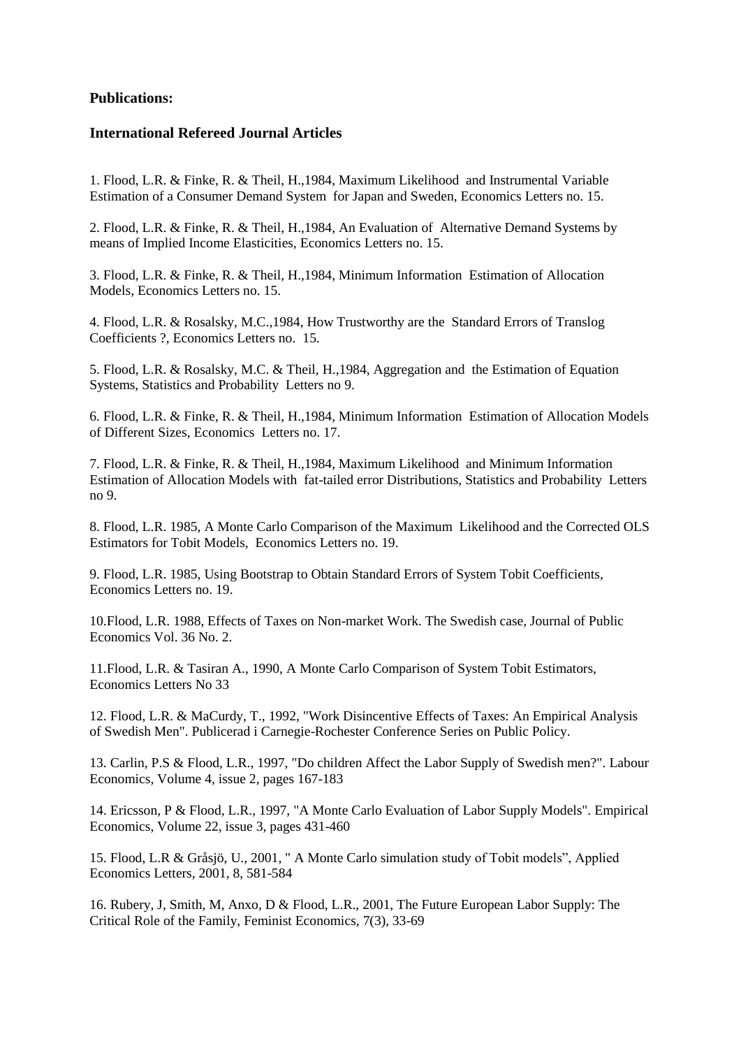# **Publications:**

## **International Refereed Journal Articles**

1. Flood, L.R. & Finke, R. & Theil, H.,1984, Maximum Likelihood and Instrumental Variable Estimation of a Consumer Demand System for Japan and Sweden, Economics Letters no. 15.

2. Flood, L.R. & Finke, R. & Theil, H.,1984, An Evaluation of Alternative Demand Systems by means of Implied Income Elasticities, Economics Letters no. 15.

3. Flood, L.R. & Finke, R. & Theil, H.,1984, Minimum Information Estimation of Allocation Models, Economics Letters no. 15.

4. Flood, L.R. & Rosalsky, M.C.,1984, How Trustworthy are the Standard Errors of Translog Coefficients ?, Economics Letters no. 15.

5. Flood, L.R. & Rosalsky, M.C. & Theil, H.,1984, Aggregation and the Estimation of Equation Systems, Statistics and Probability Letters no 9.

6. Flood, L.R. & Finke, R. & Theil, H.,1984, Minimum Information Estimation of Allocation Models of Different Sizes, Economics Letters no. 17.

7. Flood, L.R. & Finke, R. & Theil, H.,1984, Maximum Likelihood and Minimum Information Estimation of Allocation Models with fat-tailed error Distributions, Statistics and Probability Letters no 9.

8. Flood, L.R. 1985, A Monte Carlo Comparison of the Maximum Likelihood and the Corrected OLS Estimators for Tobit Models, Economics Letters no. 19.

9. Flood, L.R. 1985, Using Bootstrap to Obtain Standard Errors of System Tobit Coefficients, Economics Letters no. 19.

10.Flood, L.R. 1988, Effects of Taxes on Non-market Work. The Swedish case, Journal of Public Economics Vol. 36 No. 2.

11.Flood, L.R. & Tasiran A., 1990, A Monte Carlo Comparison of System Tobit Estimators, Economics Letters No 33

12. Flood, L.R. & MaCurdy, T., 1992, "Work Disincentive Effects of Taxes: An Empirical Analysis of Swedish Men". Publicerad i Carnegie-Rochester Conference Series on Public Policy.

13. Carlin, P.S & Flood, L.R., 1997, "Do children Affect the Labor Supply of Swedish men?". Labour Economics, Volume 4, issue 2, pages 167-183

14. Ericsson, P & Flood, L.R., 1997, "A Monte Carlo Evaluation of Labor Supply Models". Empirical Economics, Volume 22, issue 3, pages 431-460

15. Flood, L.R & Gråsjö, U., 2001, " A Monte Carlo simulation study of Tobit models", Applied Economics Letters, 2001, 8, 581-584

16. Rubery, J, Smith, M, Anxo, D & Flood, L.R., 2001, The Future European Labor Supply: The Critical Role of the Family, Feminist Economics, 7(3), 33-69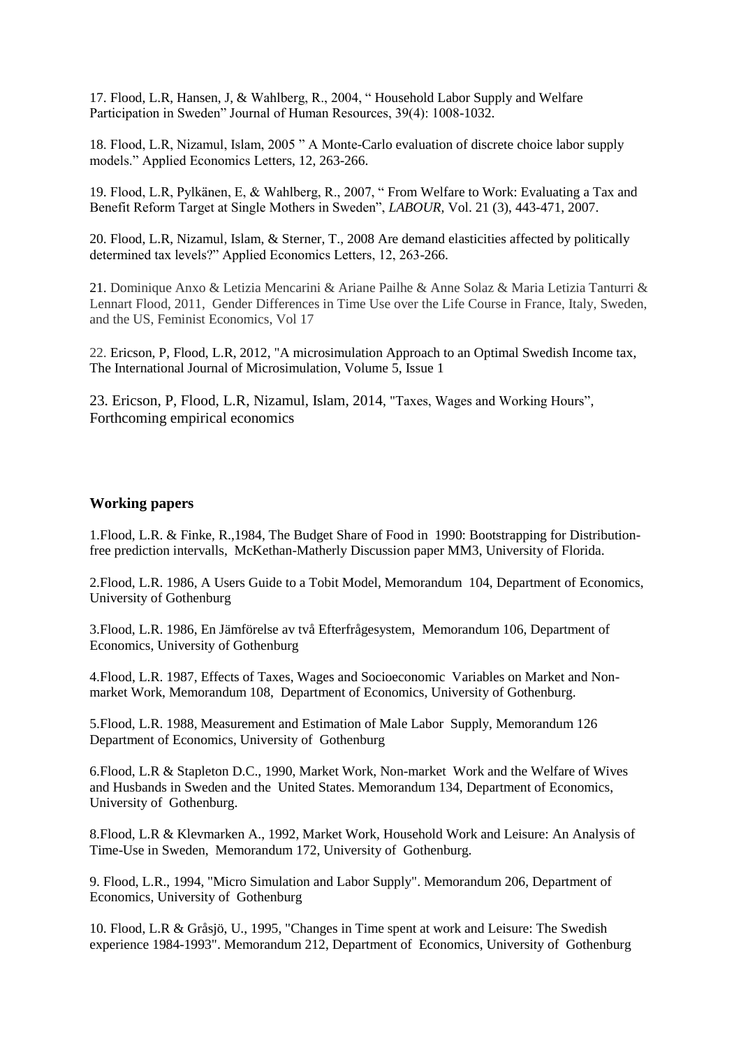17. Flood, L.R, Hansen, J, & Wahlberg, R., 2004, " Household Labor Supply and Welfare Participation in Sweden" Journal of Human Resources, 39(4): 1008-1032.

18. Flood, L.R, Nizamul, Islam, 2005 " A Monte-Carlo evaluation of discrete choice labor supply models." Applied Economics Letters, 12, 263-266.

19. Flood, L.R, Pylkänen, E, & Wahlberg, R., 2007, " From Welfare to Work: Evaluating a Tax and Benefit Reform Target at Single Mothers in Sweden", *LABOUR,* Vol. 21 (3), 443-471, 2007.

20. Flood, L.R, Nizamul, Islam, & Sterner, T., 2008 Are demand elasticities affected by politically determined tax levels?" Applied Economics Letters, 12, 263-266.

21. Dominique Anxo & Letizia Mencarini & Ariane Pailhe & Anne Solaz & Maria Letizia Tanturri & Lennart Flood, 2011, Gender Differences in Time Use over the Life Course in France, Italy, Sweden, and the US, Feminist Economics, Vol 17

22. Ericson, P, Flood, L.R, 2012, "A microsimulation Approach to an Optimal Swedish Income tax, The International Journal of Microsimulation, Volume 5, Issue 1

23. Ericson, P, Flood, L.R, Nizamul, Islam, 2014, "Taxes, Wages and Working Hours", Forthcoming empirical economics

#### **Working papers**

1.Flood, L.R. & Finke, R.,1984, The Budget Share of Food in 1990: Bootstrapping for Distributionfree prediction intervalls, McKethan-Matherly Discussion paper MM3, University of Florida.

2.Flood, L.R. 1986, A Users Guide to a Tobit Model, Memorandum 104, Department of Economics, University of Gothenburg

3.Flood, L.R. 1986, En Jämförelse av två Efterfrågesystem, Memorandum 106, Department of Economics, University of Gothenburg

4.Flood, L.R. 1987, Effects of Taxes, Wages and Socioeconomic Variables on Market and Nonmarket Work, Memorandum 108, Department of Economics, University of Gothenburg.

5.Flood, L.R. 1988, Measurement and Estimation of Male Labor Supply, Memorandum 126 Department of Economics, University of Gothenburg

6.Flood, L.R & Stapleton D.C., 1990, Market Work, Non-market Work and the Welfare of Wives and Husbands in Sweden and the United States. Memorandum 134, Department of Economics, University of Gothenburg.

8.Flood, L.R & Klevmarken A., 1992, Market Work, Household Work and Leisure: An Analysis of Time-Use in Sweden, Memorandum 172, University of Gothenburg.

9. Flood, L.R., 1994, "Micro Simulation and Labor Supply". Memorandum 206, Department of Economics, University of Gothenburg

10. Flood, L.R & Gråsjö, U., 1995, "Changes in Time spent at work and Leisure: The Swedish experience 1984-1993". Memorandum 212, Department of Economics, University of Gothenburg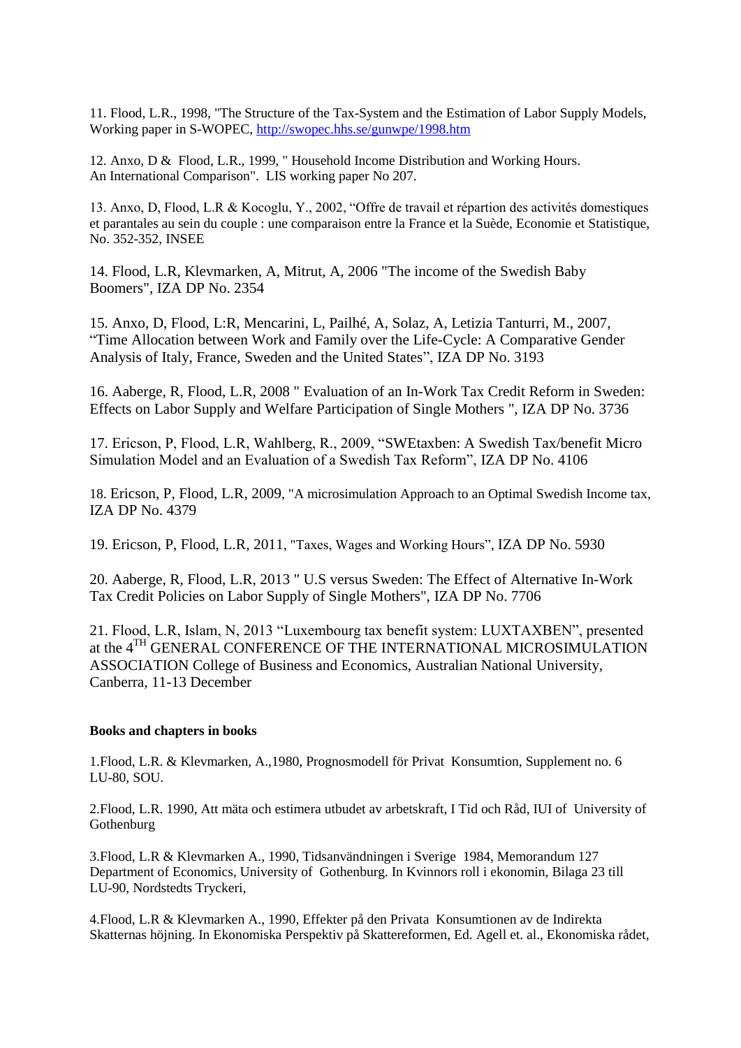11. Flood, L.R., 1998, "The Structure of the Tax-System and the Estimation of Labor Supply Models, Working paper in S-WOPEC,<http://swopec.hhs.se/gunwpe/1998.htm>

12. Anxo, D & Flood, L.R., 1999, " Household Income Distribution and Working Hours. An International Comparison". LIS working paper No 207.

13. Anxo, D, Flood, L.R & Kocoglu, Y., 2002, "Offre de travail et répartion des activités domestiques et parantales au sein du couple : une comparaison entre la France et la Suède, Economie et Statistique, No. 352-352, INSEE

14. Flood, L.R, Klevmarken, A, Mitrut, A, 2006 "The income of the Swedish Baby Boomers", IZA DP No. 2354

15. Anxo, D, Flood, L:R, Mencarini, L, Pailhé, A, Solaz, A, Letizia Tanturri, M., 2007, "Time Allocation between Work and Family over the Life-Cycle: A Comparative Gender Analysis of Italy, France, Sweden and the United States", IZA DP No. 3193

16. Aaberge, R, Flood, L.R, 2008 " Evaluation of an In-Work Tax Credit Reform in Sweden: Effects on Labor Supply and Welfare Participation of Single Mothers ", IZA DP No. 3736

17. Ericson, P, Flood, L.R, Wahlberg, R., 2009, "SWEtaxben: A Swedish Tax/benefit Micro Simulation Model and an Evaluation of a Swedish Tax Reform", IZA DP No. 4106

18. Ericson, P, Flood, L.R, 2009, "A microsimulation Approach to an Optimal Swedish Income tax, IZA DP No. 4379

19. Ericson, P, Flood, L.R, 2011, "Taxes, Wages and Working Hours", IZA DP No. 5930

20. Aaberge, R, Flood, L.R, 2013 " U.S versus Sweden: The Effect of Alternative In-Work Tax Credit Policies on Labor Supply of Single Mothers", IZA DP No. 7706

21. Flood, L.R, Islam, N, 2013 "Luxembourg tax benefit system: LUXTAXBEN", presented at the 4<sup>TH</sup> GENERAL CONFERENCE OF THE INTERNATIONAL MICROSIMULATION ASSOCIATION College of Business and Economics, Australian National University, Canberra, 11-13 December

## **Books and chapters in books**

1.Flood, L.R. & Klevmarken, A.,1980, Prognosmodell för Privat Konsumtion, Supplement no. 6 LU-80, SOU.

2.Flood, L.R. 1990, Att mäta och estimera utbudet av arbetskraft, I Tid och Råd, IUI of University of Gothenburg

3.Flood, L.R & Klevmarken A., 1990, Tidsanvändningen i Sverige 1984, Memorandum 127 Department of Economics, University of Gothenburg. In Kvinnors roll i ekonomin, Bilaga 23 till LU-90, Nordstedts Tryckeri,

4.Flood, L.R & Klevmarken A., 1990, Effekter på den Privata Konsumtionen av de Indirekta Skatternas höjning. In Ekonomiska Perspektiv på Skattereformen, Ed. Agell et. al., Ekonomiska rådet,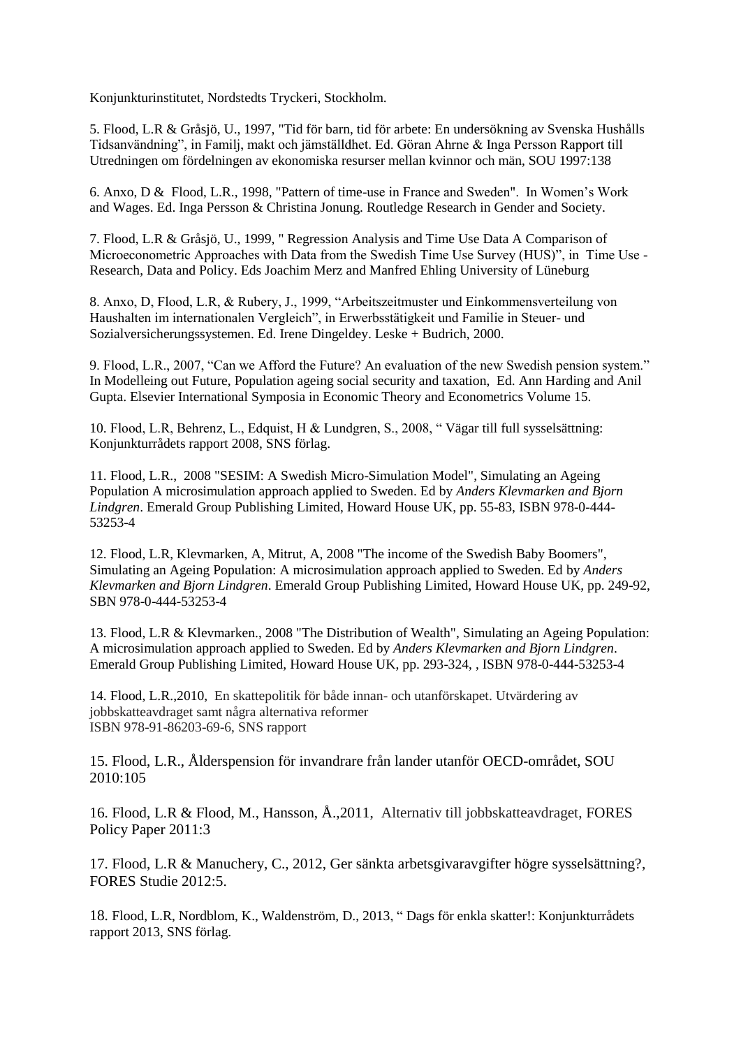Konjunkturinstitutet, Nordstedts Tryckeri, Stockholm.

5. Flood, L.R & Gråsjö, U., 1997, "Tid för barn, tid för arbete: En undersökning av Svenska Hushålls Tidsanvändning", in Familj, makt och jämställdhet. Ed. Göran Ahrne & Inga Persson Rapport till Utredningen om fördelningen av ekonomiska resurser mellan kvinnor och män, SOU 1997:138

6. Anxo, D & Flood, L.R., 1998, "Pattern of time-use in France and Sweden". In Women's Work and Wages. Ed. Inga Persson & Christina Jonung. Routledge Research in Gender and Society.

7. Flood, L.R & Gråsjö, U., 1999, " Regression Analysis and Time Use Data A Comparison of Microeconometric Approaches with Data from the Swedish Time Use Survey (HUS)", in Time Use -Research, Data and Policy. Eds Joachim Merz and Manfred Ehling University of Lüneburg

8. Anxo, D, Flood, L.R, & Rubery, J., 1999, "Arbeitszeitmuster und Einkommensverteilung von Haushalten im internationalen Vergleich", in Erwerbsstätigkeit und Familie in Steuer- und Sozialversicherungssystemen. Ed. Irene Dingeldey. Leske + Budrich, 2000.

9. Flood, L.R., 2007, "Can we Afford the Future? An evaluation of the new Swedish pension system." In Modelleing out Future, Population ageing social security and taxation, Ed. Ann Harding and Anil Gupta. Elsevier International Symposia in Economic Theory and Econometrics Volume 15.

10. Flood, L.R, Behrenz, L., Edquist, H & Lundgren, S., 2008, " Vägar till full sysselsättning: Konjunkturrådets rapport 2008, SNS förlag.

11. Flood, L.R., 2008 "SESIM: A Swedish Micro-Simulation Model", Simulating an Ageing Population A microsimulation approach applied to Sweden. Ed by *Anders Klevmarken and Bjorn Lindgren*. Emerald Group Publishing Limited, Howard House UK, pp. 55-83, ISBN 978-0-444- 53253-4

12. Flood, L.R, Klevmarken, A, Mitrut, A, 2008 "The income of the Swedish Baby Boomers", Simulating an Ageing Population: A microsimulation approach applied to Sweden. Ed by *Anders Klevmarken and Bjorn Lindgren*. Emerald Group Publishing Limited, Howard House UK, pp. 249-92, SBN 978-0-444-53253-4

13. Flood, L.R & Klevmarken., 2008 "The Distribution of Wealth", Simulating an Ageing Population: A microsimulation approach applied to Sweden. Ed by *Anders Klevmarken and Bjorn Lindgren*. Emerald Group Publishing Limited, Howard House UK, pp. 293-324, , ISBN 978-0-444-53253-4

14. Flood, L.R.,2010, En skattepolitik för både innan- och utanförskapet. Utvärdering av jobbskatteavdraget samt några alternativa reformer ISBN 978-91-86203-69-6, SNS rapport

15. Flood, L.R., Ålderspension för invandrare från lander utanför OECD-området, SOU 2010:105

16. Flood, L.R & Flood, M., Hansson, Å.,2011, Alternativ till jobbskatteavdraget, FORES Policy Paper 2011:3

17. Flood, L.R & Manuchery, C., 2012, Ger sänkta arbetsgivaravgifter högre sysselsättning?, FORES Studie 2012:5.

18. Flood, L.R, Nordblom, K., Waldenström, D., 2013, " Dags för enkla skatter!: Konjunkturrådets rapport 2013, SNS förlag.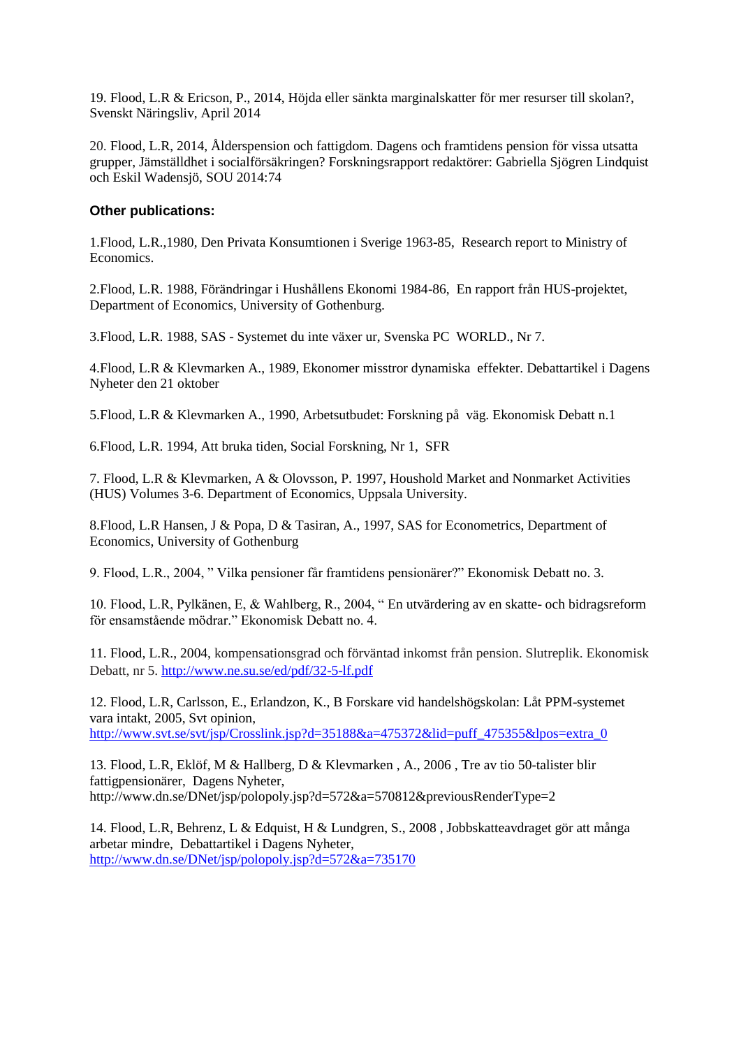19. Flood, L.R & Ericson, P., 2014, Höjda eller sänkta marginalskatter för mer resurser till skolan?, Svenskt Näringsliv, April 2014

20. Flood, L.R, 2014, Ålderspension och fattigdom. Dagens och framtidens pension för vissa utsatta grupper, Jämställdhet i socialförsäkringen? Forskningsrapport redaktörer: Gabriella Sjögren Lindquist och Eskil Wadensjö, SOU 2014:74

## **Other publications:**

1.Flood, L.R.,1980, Den Privata Konsumtionen i Sverige 1963-85, Research report to Ministry of Economics.

2.Flood, L.R. 1988, Förändringar i Hushållens Ekonomi 1984-86, En rapport från HUS-projektet, Department of Economics, University of Gothenburg.

3.Flood, L.R. 1988, SAS - Systemet du inte växer ur, Svenska PC WORLD., Nr 7.

4.Flood, L.R & Klevmarken A., 1989, Ekonomer misstror dynamiska effekter. Debattartikel i Dagens Nyheter den 21 oktober

5.Flood, L.R & Klevmarken A., 1990, Arbetsutbudet: Forskning på väg. Ekonomisk Debatt n.1

6.Flood, L.R. 1994, Att bruka tiden, Social Forskning, Nr 1, SFR

7. Flood, L.R & Klevmarken, A & Olovsson, P. 1997, Houshold Market and Nonmarket Activities (HUS) Volumes 3-6. Department of Economics, Uppsala University.

8.Flood, L.R Hansen, J & Popa, D & Tasiran, A., 1997, SAS for Econometrics, Department of Economics, University of Gothenburg

9. Flood, L.R., 2004, " Vilka pensioner får framtidens pensionärer?" Ekonomisk Debatt no. 3.

10. Flood, L.R, Pylkänen, E, & Wahlberg, R., 2004, " En utvärdering av en skatte- och bidragsreform för ensamstående mödrar." Ekonomisk Debatt no. 4.

11. Flood, L.R., 2004, kompensationsgrad och förväntad inkomst från pension. Slutreplik. Ekonomisk Debatt, nr 5[. http://www.ne.su.se/ed/pdf/32-5-lf.pdf](http://www.ne.su.se/ed/pdf/32-5-lf.pdf)

12. Flood, L.R, Carlsson, E., Erlandzon, K., B Forskare vid handelshögskolan: Låt PPM-systemet vara intakt, 2005, Svt opinion, [http://www.svt.se/svt/jsp/Crosslink.jsp?d=35188&a=475372&lid=puff\\_475355&lpos=extra\\_0](http://www.svt.se/svt/jsp/Crosslink.jsp?d=35188&a=475372&lid=puff_475355&lpos=extra_0)

13. Flood, L.R, Eklöf, M & Hallberg, D & Klevmarken , A., 2006 , Tre av tio 50-talister blir fattigpensionärer, Dagens Nyheter, http://www.dn.se/DNet/jsp/polopoly.jsp?d=572&a=570812&previousRenderType=2

14. Flood, L.R, Behrenz, L & Edquist, H & Lundgren, S., 2008 , Jobbskatteavdraget gör att många arbetar mindre, Debattartikel i Dagens Nyheter, <http://www.dn.se/DNet/jsp/polopoly.jsp?d=572&a=735170>